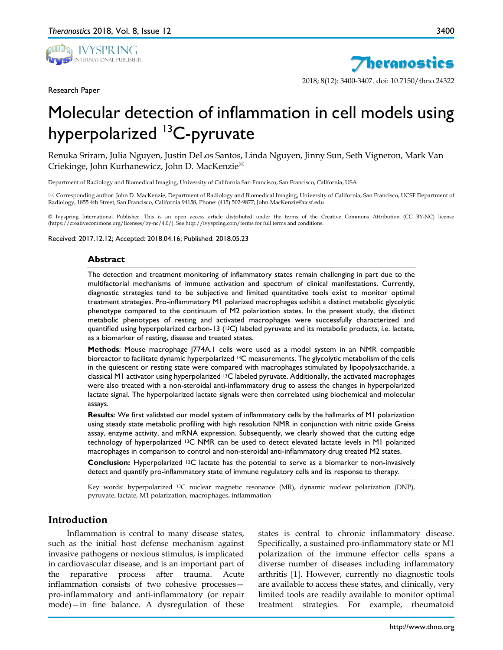

Research Paper



2018; 8(12): 3400-3407. doi: 10.7150/thno.24322

# Molecular detection of inflammation in cell models using hyperpolarized <sup>13</sup>C-pyruvate

Renuka Sriram, Julia Nguyen, Justin DeLos Santos, Linda Nguyen, Jinny Sun, Seth Vigneron, Mark Van Criekinge, John Kurhanewicz, John D. MacKenzie

Department of Radiology and Biomedical Imaging, University of California San Francisco, San Francisco, California, USA

 Corresponding author: John D. MacKenzie, Department of Radiology and Biomedical Imaging, University of California, San Francisco, UCSF Department of Radiology, 1855 4th Street, San Francisco, California 94158, Phone: (415) 502-9877; John.MacKenzie@ucsf.edu

© Ivyspring International Publisher. This is an open access article distributed under the terms of the Creative Commons Attribution (CC BY-NC) license (https://creativecommons.org/licenses/by-nc/4.0/). See http://ivyspring.com/terms for full terms and conditions.

Received: 2017.12.12; Accepted: 2018.04.16; Published: 2018.05.23

#### **Abstract**

The detection and treatment monitoring of inflammatory states remain challenging in part due to the multifactorial mechanisms of immune activation and spectrum of clinical manifestations. Currently, diagnostic strategies tend to be subjective and limited quantitative tools exist to monitor optimal treatment strategies. Pro-inflammatory M1 polarized macrophages exhibit a distinct metabolic glycolytic phenotype compared to the continuum of M2 polarization states. In the present study, the distinct metabolic phenotypes of resting and activated macrophages were successfully characterized and quantified using hyperpolarized carbon-13 (13C) labeled pyruvate and its metabolic products, i.e. lactate, as a biomarker of resting, disease and treated states.

**Methods**: Mouse macrophage J774A.1 cells were used as a model system in an NMR compatible bioreactor to facilitate dynamic hyperpolarized 13C measurements. The glycolytic metabolism of the cells in the quiescent or resting state were compared with macrophages stimulated by lipopolysaccharide, a classical M1 activator using hyperpolarized 13C labeled pyruvate. Additionally, the activated macrophages were also treated with a non-steroidal anti-inflammatory drug to assess the changes in hyperpolarized lactate signal. The hyperpolarized lactate signals were then correlated using biochemical and molecular assays.

**Results**: We first validated our model system of inflammatory cells by the hallmarks of M1 polarization using steady state metabolic profiling with high resolution NMR in conjunction with nitric oxide Greiss assay, enzyme activity, and mRNA expression. Subsequently, we clearly showed that the cutting edge technology of hyperpolarized 13C NMR can be used to detect elevated lactate levels in M1 polarized macrophages in comparison to control and non-steroidal anti-inflammatory drug treated M2 states.

**Conclusion:** Hyperpolarized 13C lactate has the potential to serve as a biomarker to non-invasively detect and quantify pro-inflammatory state of immune regulatory cells and its response to therapy.

Key words: hyperpolarized 13C nuclear magnetic resonance (MR), dynamic nuclear polarization (DNP), pyruvate, lactate, M1 polarization, macrophages, inflammation

# **Introduction**

Inflammation is central to many disease states, such as the initial host defense mechanism against invasive pathogens or noxious stimulus, is implicated in cardiovascular disease, and is an important part of the reparative process after trauma. Acute inflammation consists of two cohesive processes pro-inflammatory and anti-inflammatory (or repair mode)—in fine balance. A dysregulation of these

states is central to chronic inflammatory disease. Specifically, a sustained pro-inflammatory state or M1 polarization of the immune effector cells spans a diverse number of diseases including inflammatory arthritis [1]. However, currently no diagnostic tools are available to access these states, and clinically, very limited tools are readily available to monitor optimal treatment strategies. For example, rheumatoid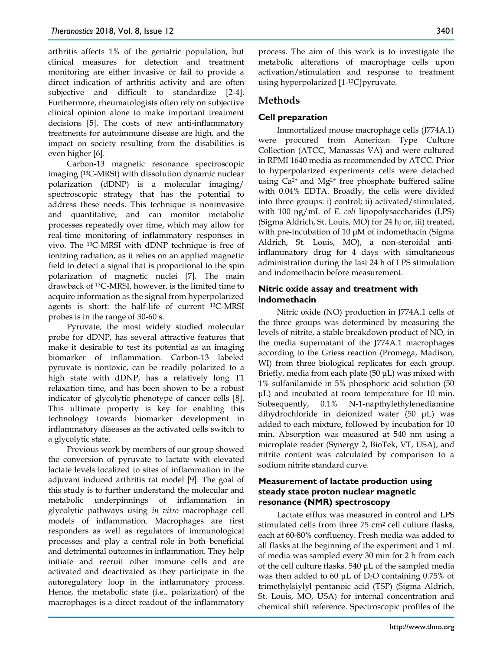arthritis affects 1% of the geriatric population, but clinical measures for detection and treatment monitoring are either invasive or fail to provide a direct indication of arthritis activity and are often subjective and difficult to standardize [2-4]. Furthermore, rheumatologists often rely on subjective clinical opinion alone to make important treatment decisions [5]. The costs of new anti-inflammatory treatments for autoimmune disease are high, and the impact on society resulting from the disabilities is even higher [6].

Carbon-13 magnetic resonance spectroscopic imaging (13C-MRSI) with dissolution dynamic nuclear polarization (dDNP) is a molecular imaging/ spectroscopic strategy that has the potential to address these needs. This technique is noninvasive and quantitative, and can monitor metabolic processes repeatedly over time, which may allow for real-time monitoring of inflammatory responses in vivo. The 13C-MRSI with dDNP technique is free of ionizing radiation, as it relies on an applied magnetic field to detect a signal that is proportional to the spin polarization of magnetic nuclei [7]. The main drawback of 13C-MRSI, however, is the limited time to acquire information as the signal from hyperpolarized agents is short: the half-life of current 13C-MRSI probes is in the range of 30-60 s.

Pyruvate, the most widely studied molecular probe for dDNP, has several attractive features that make it desirable to test its potential as an imaging biomarker of inflammation. Carbon-13 labeled pyruvate is nontoxic, can be readily polarized to a high state with dDNP, has a relatively long T1 relaxation time, and has been shown to be a robust indicator of glycolytic phenotype of cancer cells [8]. This ultimate property is key for enabling this technology towards biomarker development in inflammatory diseases as the activated cells switch to a glycolytic state.

Previous work by members of our group showed the conversion of pyruvate to lactate with elevated lactate levels localized to sites of inflammation in the adjuvant induced arthritis rat model [9]. The goal of this study is to further understand the molecular and metabolic underpinnings of inflammation in glycolytic pathways using *in vitro* macrophage cell models of inflammation. Macrophages are first responders as well as regulators of immunological processes and play a central role in both beneficial and detrimental outcomes in inflammation. They help initiate and recruit other immune cells and are activated and deactivated as they participate in the autoregulatory loop in the inflammatory process. Hence, the metabolic state (i.e., polarization) of the macrophages is a direct readout of the inflammatory

process. The aim of this work is to investigate the metabolic alterations of macrophage cells upon activation/stimulation and response to treatment using hyperpolarized [1-13C]pyruvate.

# **Methods**

# **Cell preparation**

Immortalized mouse macrophage cells (J774A.1) were procured from American Type Culture Collection (ATCC, Manassas VA) and were cultured in RPMI 1640 media as recommended by ATCC. Prior to hyperpolarized experiments cells were detached using Ca<sup>2+</sup> and Mg<sup>2+</sup> free phosphate buffered saline with 0.04% EDTA. Broadly, the cells were divided into three groups: i) control; ii) activated/stimulated, with 100 ng/mL of *E. coli* lipopolysaccharides (LPS) (Sigma Aldrich, St. Louis, MO) for 24 h; or, iii) treated, with pre-incubation of 10 μM of indomethacin (Sigma Aldrich, St. Louis, MO), a non-steroidal antiinflammatory drug for 4 days with simultaneous administration during the last 24 h of LPS stimulation and indomethacin before measurement.

## **Nitric oxide assay and treatment with indomethacin**

Nitric oxide (NO) production in J774A.1 cells of the three groups was determined by measuring the levels of nitrite, a stable breakdown product of NO, in the media supernatant of the J774A.1 macrophages according to the Griess reaction (Promega, Madison, WI) from three biological replicates for each group. Briefly, media from each plate (50 μL) was mixed with 1% sulfanilamide in 5% phosphoric acid solution (50 μL) and incubated at room temperature for 10 min. Subsequently, 0.1% N-1-napthylethylenediamine dihydrochloride in deionized water (50 μL) was added to each mixture, followed by incubation for 10 min. Absorption was measured at 540 nm using a microplate reader (Synergy 2, BioTek, VT, USA), and nitrite content was calculated by comparison to a sodium nitrite standard curve.

#### **Measurement of lactate production using steady state proton nuclear magnetic resonance (NMR) spectroscopy**

Lactate efflux was measured in control and LPS stimulated cells from three 75 cm2 cell culture flasks, each at 60-80% confluency. Fresh media was added to all flasks at the beginning of the experiment and 1 mL of media was sampled every 30 min for 2 h from each of the cell culture flasks. 540 μL of the sampled media was then added to 60 μL of D2O containing 0.75% of trimethylsiylyl pentanoic acid (TSP) (Sigma Aldrich, St. Louis, MO, USA) for internal concentration and chemical shift reference. Spectroscopic profiles of the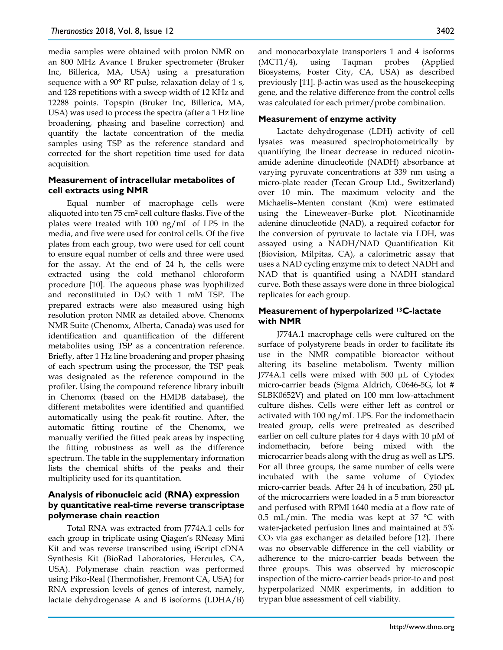media samples were obtained with proton NMR on an 800 MHz Avance I Bruker spectrometer (Bruker Inc, Billerica, MA, USA) using a presaturation sequence with a 90° RF pulse, relaxation delay of 1 s, and 128 repetitions with a sweep width of 12 KHz and 12288 points. Topspin (Bruker Inc, Billerica, MA, USA) was used to process the spectra (after a 1 Hz line broadening, phasing and baseline correction) and quantify the lactate concentration of the media samples using TSP as the reference standard and corrected for the short repetition time used for data acquisition.

#### **Measurement of intracellular metabolites of cell extracts using NMR**

Equal number of macrophage cells were aliquoted into ten 75 cm2 cell culture flasks. Five of the plates were treated with 100 ng/mL of LPS in the media, and five were used for control cells. Of the five plates from each group, two were used for cell count to ensure equal number of cells and three were used for the assay. At the end of 24 h, the cells were extracted using the cold methanol chloroform procedure [10]. The aqueous phase was lyophilized and reconstituted in D2O with 1 mM TSP. The prepared extracts were also measured using high resolution proton NMR as detailed above. Chenomx NMR Suite (Chenomx, Alberta, Canada) was used for identification and quantification of the different metabolites using TSP as a concentration reference. Briefly, after 1 Hz line broadening and proper phasing of each spectrum using the processor, the TSP peak was designated as the reference compound in the profiler. Using the compound reference library inbuilt in Chenomx (based on the HMDB database), the different metabolites were identified and quantified automatically using the peak-fit routine. After, the automatic fitting routine of the Chenomx, we manually verified the fitted peak areas by inspecting the fitting robustness as well as the difference spectrum. The table in the supplementary information lists the chemical shifts of the peaks and their multiplicity used for its quantitation.

## **Analysis of ribonucleic acid (RNA) expression by quantitative real-time reverse transcriptase polymerase chain reaction**

Total RNA was extracted from J774A.1 cells for each group in triplicate using Qiagen's RNeasy Mini Kit and was reverse transcribed using iScript cDNA Synthesis Kit (BioRad Laboratories, Hercules, CA, USA). Polymerase chain reaction was performed using Piko-Real (Thermofisher, Fremont CA, USA) for RNA expression levels of genes of interest, namely, lactate dehydrogenase A and B isoforms (LDHA/B)

and monocarboxylate transporters 1 and 4 isoforms (MCT1/4), using Taqman probes (Applied Biosystems, Foster City, CA, USA) as described previously [11]. β-actin was used as the housekeeping gene, and the relative difference from the control cells was calculated for each primer/probe combination.

## **Measurement of enzyme activity**

Lactate dehydrogenase (LDH) activity of cell lysates was measured spectrophotometrically by quantifying the linear decrease in reduced nicotinamide adenine dinucleotide (NADH) absorbance at varying pyruvate concentrations at 339 nm using a micro-plate reader (Tecan Group Ltd., Switzerland) over 10 min. The maximum velocity and the Michaelis–Menten constant (Km) were estimated using the Lineweaver–Burke plot. Nicotinamide adenine dinucleotide (NAD), a required cofactor for the conversion of pyruvate to lactate via LDH, was assayed using a NADH/NAD Quantification Kit (Biovision, Milpitas, CA), a calorimetric assay that uses a NAD cycling enzyme mix to detect NADH and NAD that is quantified using a NADH standard curve. Both these assays were done in three biological replicates for each group.

## **Measurement of hyperpolarized 13C-lactate with NMR**

J774A.1 macrophage cells were cultured on the surface of polystyrene beads in order to facilitate its use in the NMR compatible bioreactor without altering its baseline metabolism. Twenty million J774A.1 cells were mixed with 500 μL of Cytodex micro-carrier beads (Sigma Aldrich, C0646-5G, lot # SLBK0652V) and plated on 100 mm low-attachment culture dishes. Cells were either left as control or activated with 100 ng/mL LPS. For the indomethacin treated group, cells were pretreated as described earlier on cell culture plates for 4 days with 10 μM of indomethacin, before being mixed with the microcarrier beads along with the drug as well as LPS. For all three groups, the same number of cells were incubated with the same volume of Cytodex micro-carrier beads. After 24 h of incubation, 250 μL of the microcarriers were loaded in a 5 mm bioreactor and perfused with RPMI 1640 media at a flow rate of 0.5 mL/min. The media was kept at 37  $^{\circ}$ C with water-jacketed perfusion lines and maintained at 5%  $CO<sub>2</sub>$  via gas exchanger as detailed before [12]. There was no observable difference in the cell viability or adherence to the micro-carrier beads between the three groups. This was observed by microscopic inspection of the micro-carrier beads prior-to and post hyperpolarized NMR experiments, in addition to trypan blue assessment of cell viability.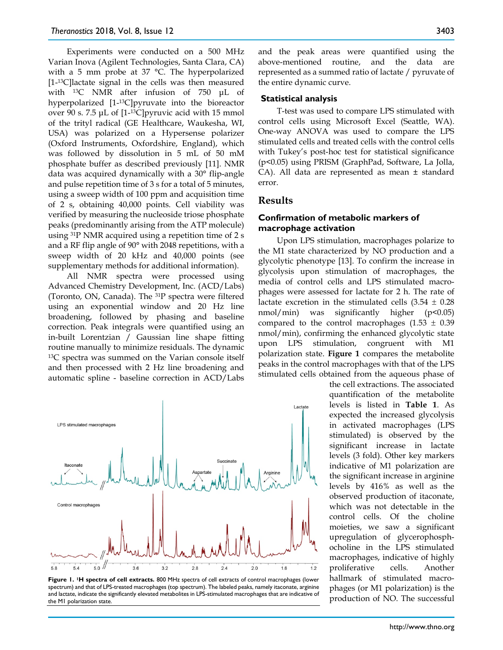Experiments were conducted on a 500 MHz Varian Inova (Agilent Technologies, Santa Clara, CA) with a 5 mm probe at 37 °C. The hyperpolarized [1-13C]lactate signal in the cells was then measured with <sup>13</sup>C NMR after infusion of 750 μL of hyperpolarized [1-13C]pyruvate into the bioreactor over 90 s. 7.5 μL of [1-13C]pyruvic acid with 15 mmol of the trityl radical (GE Healthcare, Waukesha, WI, USA) was polarized on a Hypersense polarizer (Oxford Instruments, Oxfordshire, England), which was followed by dissolution in 5 mL of 50 mM phosphate buffer as described previously [11]. NMR data was acquired dynamically with a 30° flip-angle and pulse repetition time of 3 s for a total of 5 minutes, using a sweep width of 100 ppm and acquisition time of 2 s, obtaining 40,000 points. Cell viability was verified by measuring the nucleoside triose phosphate peaks (predominantly arising from the ATP molecule) using 31P NMR acquired using a repetition time of 2 s and a RF flip angle of 90° with 2048 repetitions, with a sweep width of 20 kHz and 40,000 points (see supplementary methods for additional information).

All NMR spectra were processed using Advanced Chemistry Development, Inc. (ACD/Labs) (Toronto, ON, Canada). The 31P spectra were filtered using an exponential window and 20 Hz line broadening, followed by phasing and baseline correction. Peak integrals were quantified using an in-built Lorentzian / Gaussian line shape fitting routine manually to minimize residuals. The dynamic 13C spectra was summed on the Varian console itself and then processed with 2 Hz line broadening and automatic spline - baseline correction in ACD/Labs



**Figure 1. 1H spectra of cell extracts.** 800 MHz spectra of cell extracts of control macrophages (lower spectrum) and that of LPS-treated macrophages (top spectrum). The labeled peaks, namely itaconate, arginine and lactate, indicate the significantly elevated metabolites in LPS-stimulated macrophages that are indicative of the M1 polarization state.

and the peak areas were quantified using the above-mentioned routine, and the data are represented as a summed ratio of lactate / pyruvate of the entire dynamic curve.

#### **Statistical analysis**

T-test was used to compare LPS stimulated with control cells using Microsoft Excel (Seattle, WA). One-way ANOVA was used to compare the LPS stimulated cells and treated cells with the control cells with Tukey's post-hoc test for statistical significance (p<0.05) using PRISM (GraphPad, Software, La Jolla, CA). All data are represented as mean ± standard error.

## **Results**

#### **Confirmation of metabolic markers of macrophage activation**

Upon LPS stimulation, macrophages polarize to the M1 state characterized by NO production and a glycolytic phenotype [13]. To confirm the increase in glycolysis upon stimulation of macrophages, the media of control cells and LPS stimulated macrophages were assessed for lactate for 2 h. The rate of lactate excretion in the stimulated cells  $(3.54 \pm 0.28)$ nmol/min) was significantly higher (p<0.05) compared to the control macrophages  $(1.53 \pm 0.39)$ nmol/min), confirming the enhanced glycolytic state upon LPS stimulation, congruent with M1 polarization state. **Figure 1** compares the metabolite peaks in the control macrophages with that of the LPS stimulated cells obtained from the aqueous phase of

> the cell extractions. The associated quantification of the metabolite levels is listed in **Table 1**. As expected the increased glycolysis in activated macrophages (LPS stimulated) is observed by the significant increase in lactate levels (3 fold). Other key markers indicative of M1 polarization are the significant increase in arginine levels by 416% as well as the observed production of itaconate, which was not detectable in the control cells. Of the choline moieties, we saw a significant upregulation of glycerophosphocholine in the LPS stimulated macrophages, indicative of highly proliferative cells. Another hallmark of stimulated macrophages (or M1 polarization) is the production of NO. The successful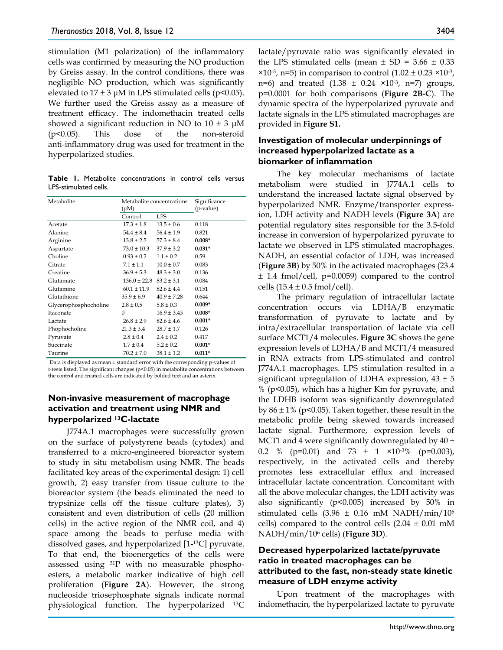stimulation (M1 polarization) of the inflammatory cells was confirmed by measuring the NO production by Greiss assay. In the control conditions, there was negligible NO production, which was significantly elevated to  $17 \pm 3$  μM in LPS stimulated cells (p<0.05). We further used the Greiss assay as a measure of treatment efficacy. The indomethacin treated cells showed a significant reduction in NO to  $10 \pm 3$   $\mu$ M (p<0.05). This dose of the non-steroid anti-inflammatory drug was used for treatment in the hyperpolarized studies.

**Table 1.** Metabolite concentrations in control cells versus LPS-stimulated cells.

| Metabolite            | Metabolite concentrations |                 | Significance |
|-----------------------|---------------------------|-----------------|--------------|
|                       | $(\mu M)$                 |                 | (p-value)    |
|                       | Control                   | LPS             |              |
| Acetate               | $17.3 \pm 1.8$            | $13.5 \pm 0.6$  | 0.118        |
| Alanine               | $54.4 \pm 8.4$            | $56.4 \pm 1.9$  | 0.821        |
| Arginine              | $13.8 \pm 2.5$            | $57.3 \pm 8.4$  | $0.008*$     |
| Aspartate             | $73.0 \pm 10.3$           | $37.9 \pm 3.2$  | $0.031*$     |
| Choline               | $0.93 \pm 0.2$            | $1.1 \pm 0.2$   | 0.59         |
| Citrate               | $7.1 \pm 1.1$             | $10.0 \pm 0.7$  | 0.083        |
| Creatine              | $36.9 \pm 5.3$            | $48.3 \pm 3.0$  | 0.136        |
| Glutamate             | $136.0 \pm 22.8$          | $83.2 \pm 3.1$  | 0.084        |
| Glutamine             | $60.1 \pm 11.9$           | $82.6 \pm 4.4$  | 0.151        |
| Glutathione           | $35.9 \pm 6.9$            | $40.9 \pm 7.28$ | 0.644        |
| Glycerophosphocholine | $2.8 \pm 0.5$             | $5.8 \pm 0.3$   | $0.009*$     |
| Itaconate             | 0                         | $16.9 \pm 3.43$ | $0.008*$     |
| Lactate               | $26.8 \pm 2.9$            | $82.6 \pm 4.6$  | $0.001*$     |
| Phophocholine         | $21.3 \pm 3.4$            | $28.7 \pm 1.7$  | 0.126        |
| Pyruvate              | $2.8 \pm 0.4$             | $2.4 \pm 0.2$   | 0.417        |
| Succinate             | $1.7 \pm 0.4$             | $5.2 \pm 0.2$   | $0.001*$     |
| Taurine               | $70.2 \pm 7.0$            | $38.1 \pm 1.2$  | $0.011*$     |

Data is displayed as mean ± standard error with the corresponding p-values of t-tests listed. The significant changes (p<0.05) in metabolite concentrations between the control and treated cells are indicated by bolded text and an asterix.

#### **Non-invasive measurement of macrophage activation and treatment using NMR and hyperpolarized 13C-lactate**

J774A.1 macrophages were successfully grown on the surface of polystyrene beads (cytodex) and transferred to a micro-engineered bioreactor system to study in situ metabolism using NMR. The beads facilitated key areas of the experimental design: 1) cell growth, 2) easy transfer from tissue culture to the bioreactor system (the beads eliminated the need to trypsinize cells off the tissue culture plates), 3) consistent and even distribution of cells (20 million cells) in the active region of the NMR coil, and 4) space among the beads to perfuse media with dissolved gases, and hyperpolarized [1-13C] pyruvate. To that end, the bioenergetics of the cells were assessed using 31P with no measurable phosphoesters, a metabolic marker indicative of high cell proliferation (**Figure 2A**). However, the strong nucleoside triosephosphate signals indicate normal physiological function. The hyperpolarized 13C

lactate/pyruvate ratio was significantly elevated in the LPS stimulated cells (mean  $\pm$  SD = 3.66  $\pm$  0.33  $\times$ 10<sup>-3</sup>, n=5) in comparison to control (1.02 ± 0.23  $\times$ 10<sup>-3</sup>, n=6) and treated  $(1.38 \pm 0.24 \times 10^{-3}, n=7)$  groups, p=0.0001 for both comparisons (**Figure 2B-C**). The dynamic spectra of the hyperpolarized pyruvate and lactate signals in the LPS stimulated macrophages are provided in **Figure S1.**

## **Investigation of molecular underpinnings of increased hyperpolarized lactate as a biomarker of inflammation**

The key molecular mechanisms of lactate metabolism were studied in J774A.1 cells to understand the increased lactate signal observed by hyperpolarized NMR. Enzyme/transporter expression, LDH activity and NADH levels (**Figure 3A**) are potential regulatory sites responsible for the 3.5-fold increase in conversion of hyperpolarized pyruvate to lactate we observed in LPS stimulated macrophages. NADH, an essential cofactor of LDH, was increased (**Figure 3B**) by 50% in the activated macrophages (23.4  $± 1.4$  fmol/cell,  $p=0.0059$ ) compared to the control cells  $(15.4 \pm 0.5 \text{ fmol/cell}).$ 

The primary regulation of intracellular lactate concentration occurs via LDHA/B enzymatic transformation of pyruvate to lactate and by intra/extracellular transportation of lactate via cell surface MCT1/4 molecules. **Figure 3C** shows the gene expression levels of LDHA/B and MCT1/4 measured in RNA extracts from LPS-stimulated and control J774A.1 macrophages. LPS stimulation resulted in a significant upregulation of LDHA expression,  $43 \pm 5$ % (p<0.05), which has a higher Km for pyruvate, and the LDHB isoform was significantly downregulated by  $86 \pm 1\%$  (p<0.05). Taken together, these result in the metabolic profile being skewed towards increased lactate signal. Furthermore, expression levels of MCT1 and 4 were significantly downregulated by  $40 \pm$ 0.2 % (p=0.01) and 73  $\pm$  1 ×10<sup>-3</sup>% (p=0.003), respectively, in the activated cells and thereby promotes less extracellular efflux and increased intracellular lactate concentration. Concomitant with all the above molecular changes, the LDH activity was also significantly (p<0.005) increased by 50% in stimulated cells  $(3.96 \pm 0.16 \text{ mM} \text{ NADH/min}/10^6$ cells) compared to the control cells  $(2.04 \pm 0.01 \text{ mM})$ NADH/min/106 cells) (**Figure 3D**).

## **Decreased hyperpolarized lactate/pyruvate ratio in treated macrophages can be attributed to the fast, non-steady state kinetic measure of LDH enzyme activity**

Upon treatment of the macrophages with indomethacin, the hyperpolarized lactate to pyruvate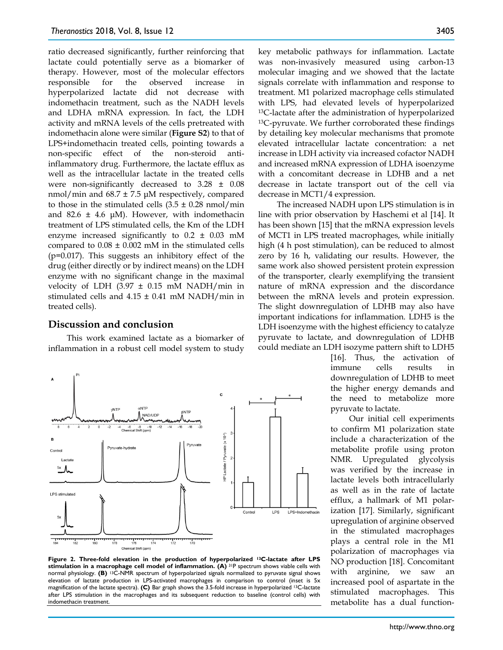ratio decreased significantly, further reinforcing that lactate could potentially serve as a biomarker of therapy. However, most of the molecular effectors responsible for the observed increase in hyperpolarized lactate did not decrease with indomethacin treatment, such as the NADH levels and LDHA mRNA expression. In fact, the LDH activity and mRNA levels of the cells pretreated with indomethacin alone were similar (**Figure S2**) to that of LPS+indomethacin treated cells, pointing towards a non-specific effect of the non-steroid antiinflammatory drug. Furthermore, the lactate efflux as well as the intracellular lactate in the treated cells were non-significantly decreased to 3.28 ± 0.08 nmol/min and 68.7 ± 7.5 μM respectively, compared to those in the stimulated cells  $(3.5 \pm 0.28 \text{ nmol/min})$ and 82.6  $\pm$  4.6  $\mu$ M). However, with indomethacin treatment of LPS stimulated cells, the Km of the LDH enzyme increased significantly to  $0.2 \pm 0.03$  mM compared to  $0.08 \pm 0.002$  mM in the stimulated cells (p=0.017). This suggests an inhibitory effect of the drug (either directly or by indirect means) on the LDH enzyme with no significant change in the maximal velocity of LDH (3.97  $\pm$  0.15 mM NADH/min in stimulated cells and  $4.15 \pm 0.41$  mM NADH/min in treated cells).

#### **Discussion and conclusion**

This work examined lactate as a biomarker of inflammation in a robust cell model system to study



**Figure 2. Three-fold elevation in the production of hyperpolarized 13C-lactate after LPS stimulation in a macrophage cell model of inflammation. (A)** 31P spectrum shows viable cells with normal physiology. **(B)** 13C-NMR spectrum of hyperpolarized signals normalized to pyruvate signal shows elevation of lactate production in LPS-activated macrophages in comparison to control (inset is 5x magnification of the lactate spectra). **(C)** Bar graph shows the 3.5-fold increase in hyperpolarized 13C-lactate after LPS stimulation in the macrophages and its subsequent reduction to baseline (control cells) with indomethacin treatment.

key metabolic pathways for inflammation. Lactate was non-invasively measured using carbon-13 molecular imaging and we showed that the lactate signals correlate with inflammation and response to treatment. M1 polarized macrophage cells stimulated with LPS, had elevated levels of hyperpolarized 13C-lactate after the administration of hyperpolarized 13C-pyruvate. We further corroborated these findings by detailing key molecular mechanisms that promote elevated intracellular lactate concentration: a net increase in LDH activity via increased cofactor NADH and increased mRNA expression of LDHA isoenzyme with a concomitant decrease in LDHB and a net decrease in lactate transport out of the cell via decrease in MCT1/4 expression.

The increased NADH upon LPS stimulation is in line with prior observation by Haschemi et al [14]. It has been shown [15] that the mRNA expression levels of MCT1 in LPS treated macrophages, while initially high (4 h post stimulation), can be reduced to almost zero by 16 h, validating our results. However, the same work also showed persistent protein expression of the transporter, clearly exemplifying the transient nature of mRNA expression and the discordance between the mRNA levels and protein expression. The slight downregulation of LDHB may also have important indications for inflammation. LDH5 is the LDH isoenzyme with the highest efficiency to catalyze pyruvate to lactate, and downregulation of LDHB could mediate an LDH isozyme pattern shift to LDH5

> [16]. Thus, the activation of immune cells results in downregulation of LDHB to meet the higher energy demands and the need to metabolize more pyruvate to lactate.

> Our initial cell experiments to confirm M1 polarization state include a characterization of the metabolite profile using proton NMR. Upregulated glycolysis was verified by the increase in lactate levels both intracellularly as well as in the rate of lactate efflux, a hallmark of M1 polarization [17]. Similarly, significant upregulation of arginine observed in the stimulated macrophages plays a central role in the M1 polarization of macrophages via NO production [18]. Concomitant with arginine, we saw an increased pool of aspartate in the stimulated macrophages. This metabolite has a dual function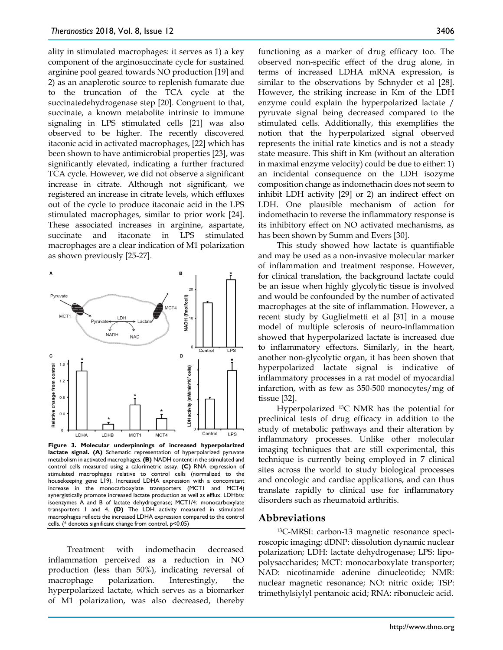ality in stimulated macrophages: it serves as 1) a key component of the arginosuccinate cycle for sustained arginine pool geared towards NO production [19] and 2) as an anaplerotic source to replenish fumarate due to the truncation of the TCA cycle at the succinatedehydrogenase step [20]. Congruent to that, succinate, a known metabolite intrinsic to immune signaling in LPS stimulated cells [21] was also observed to be higher. The recently discovered itaconic acid in activated macrophages, [22] which has been shown to have antimicrobial properties [23], was significantly elevated, indicating a further fractured TCA cycle. However, we did not observe a significant increase in citrate. Although not significant, we registered an increase in citrate levels, which effluxes out of the cycle to produce itaconaic acid in the LPS stimulated macrophages, similar to prior work [24]. These associated increases in arginine, aspartate, succinate and itaconate in LPS stimulated macrophages are a clear indication of M1 polarization as shown previously [25-27].



**Figure 3. Molecular underpinnings of increased hyperpolarized lactate signal. (A)** Schematic representation of hyperpolarized pyruvate metabolism in activated macrophages. **(B)** NADH content in the stimulated and control cells measured using a calorimetric assay. **(C)** RNA expression of stimulated macrophages relative to control cells (normalized to the housekeeping gene L19). Increased LDHA expression with a concomitant increase in the monocarboxylate transporters (MCT1 and MCT4) synergistically promote increased lactate production as well as efflux. LDHb/a: isoenzymes A and B of lactate dehydrogenase; MCT1/4: monocarboxylate transporters 1 and 4. **(D)** The LDH activity measured in stimulated macrophages reflects the increased LDHA expression compared to the control cells. (\* denotes significant change from control, p<0.05)

Treatment with indomethacin decreased inflammation perceived as a reduction in NO production (less than 50%), indicating reversal of macrophage polarization. Interestingly, the hyperpolarized lactate, which serves as a biomarker of M1 polarization, was also decreased, thereby

functioning as a marker of drug efficacy too. The observed non-specific effect of the drug alone, in terms of increased LDHA mRNA expression, is similar to the observations by Schnyder et al [28]. However, the striking increase in Km of the LDH enzyme could explain the hyperpolarized lactate / pyruvate signal being decreased compared to the stimulated cells. Additionally, this exemplifies the notion that the hyperpolarized signal observed represents the initial rate kinetics and is not a steady state measure. This shift in Km (without an alteration in maximal enzyme velocity) could be due to either: 1) an incidental consequence on the LDH isozyme composition change as indomethacin does not seem to inhibit LDH activity [29] or 2) an indirect effect on LDH. One plausible mechanism of action for indomethacin to reverse the inflammatory response is its inhibitory effect on NO activated mechanisms, as has been shown by Summ and Evers [30].

This study showed how lactate is quantifiable and may be used as a non-invasive molecular marker of inflammation and treatment response. However, for clinical translation, the background lactate could be an issue when highly glycolytic tissue is involved and would be confounded by the number of activated macrophages at the site of inflammation. However, a recent study by Guglielmetti et al [31] in a mouse model of multiple sclerosis of neuro-inflammation showed that hyperpolarized lactate is increased due to inflammatory effectors. Similarly, in the heart, another non-glycolytic organ, it has been shown that hyperpolarized lactate signal is indicative of inflammatory processes in a rat model of myocardial infarction, with as few as 350-500 monocytes/mg of tissue [32].

Hyperpolarized 13C NMR has the potential for preclinical tests of drug efficacy in addition to the study of metabolic pathways and their alteration by inflammatory processes. Unlike other molecular imaging techniques that are still experimental, this technique is currently being employed in 7 clinical sites across the world to study biological processes and oncologic and cardiac applications, and can thus translate rapidly to clinical use for inflammatory disorders such as rheumatoid arthritis.

## **Abbreviations**

13C-MRSI: carbon-13 magnetic resonance spectroscopic imaging; dDNP: dissolution dynamic nuclear polarization; LDH: lactate dehydrogenase; LPS: lipopolysaccharides; MCT: monocarboxylate transporter; NAD: nicotinamide adenine dinucleotide; NMR: nuclear magnetic resonance; NO: nitric oxide; TSP: trimethylsiylyl pentanoic acid; RNA: ribonucleic acid.